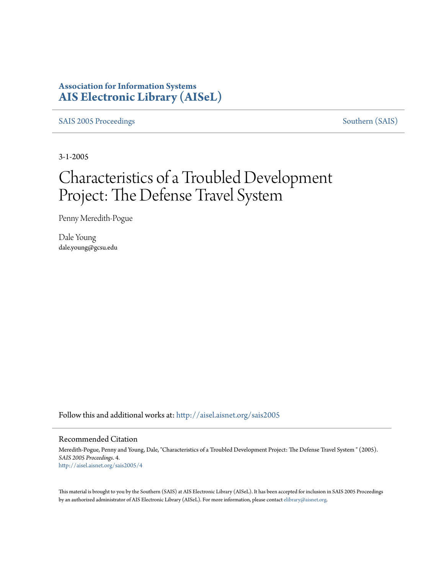## **Association for Information Systems [AIS Electronic Library \(AISeL\)](http://aisel.aisnet.org?utm_source=aisel.aisnet.org%2Fsais2005%2F4&utm_medium=PDF&utm_campaign=PDFCoverPages)**

[SAIS 2005 Proceedings](http://aisel.aisnet.org/sais2005?utm_source=aisel.aisnet.org%2Fsais2005%2F4&utm_medium=PDF&utm_campaign=PDFCoverPages) [Southern \(SAIS\)](http://aisel.aisnet.org/sais?utm_source=aisel.aisnet.org%2Fsais2005%2F4&utm_medium=PDF&utm_campaign=PDFCoverPages)

3-1-2005

# Characteristics of a Troubled Development Project: The Defense Travel System

Penny Meredith-Pogue

Dale Young dale.young@gcsu.edu

Follow this and additional works at: [http://aisel.aisnet.org/sais2005](http://aisel.aisnet.org/sais2005?utm_source=aisel.aisnet.org%2Fsais2005%2F4&utm_medium=PDF&utm_campaign=PDFCoverPages)

#### Recommended Citation

Meredith-Pogue, Penny and Young, Dale, "Characteristics of a Troubled Development Project: The Defense Travel System " (2005). *SAIS 2005 Proceedings*. 4. [http://aisel.aisnet.org/sais2005/4](http://aisel.aisnet.org/sais2005/4?utm_source=aisel.aisnet.org%2Fsais2005%2F4&utm_medium=PDF&utm_campaign=PDFCoverPages)

This material is brought to you by the Southern (SAIS) at AIS Electronic Library (AISeL). It has been accepted for inclusion in SAIS 2005 Proceedings by an authorized administrator of AIS Electronic Library (AISeL). For more information, please contact [elibrary@aisnet.org](mailto:elibrary@aisnet.org%3E).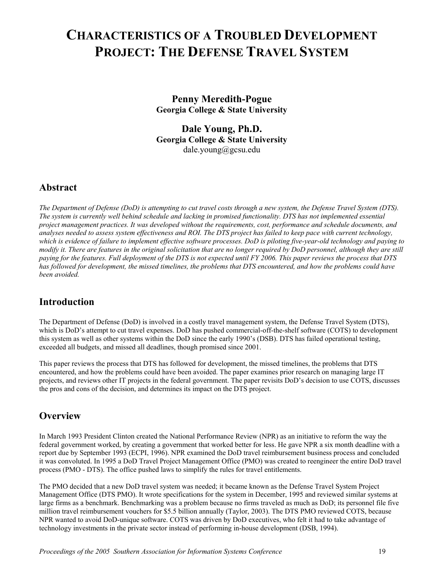## **CHARACTERISTICS OF A TROUBLED DEVELOPMENT PROJECT: THE DEFENSE TRAVEL SYSTEM**

**Penny Meredith-Pogue Georgia College & State University** 

**Dale Young, Ph.D. Georgia College & State University**  dale.young@gcsu.edu

## **Abstract**

*The Department of Defense (DoD) is attempting to cut travel costs through a new system, the Defense Travel System (DTS). The system is currently well behind schedule and lacking in promised functionality. DTS has not implemented essential project management practices. It was developed without the requirements, cost, performance and schedule documents, and analyses needed to assess system effectiveness and ROI. The DTS project has failed to keep pace with current technology, which is evidence of failure to implement effective software processes. DoD is piloting five-year-old technology and paying to modify it. There are features in the original solicitation that are no longer required by DoD personnel, although they are still paying for the features. Full deployment of the DTS is not expected until FY 2006. This paper reviews the process that DTS has followed for development, the missed timelines, the problems that DTS encountered, and how the problems could have been avoided.*

## **Introduction**

The Department of Defense (DoD) is involved in a costly travel management system, the Defense Travel System (DTS), which is DoD's attempt to cut travel expenses. DoD has pushed commercial-off-the-shelf software (COTS) to development this system as well as other systems within the DoD since the early 1990's (DSB). DTS has failed operational testing, exceeded all budgets, and missed all deadlines, though promised since 2001.

This paper reviews the process that DTS has followed for development, the missed timelines, the problems that DTS encountered, and how the problems could have been avoided. The paper examines prior research on managing large IT projects, and reviews other IT projects in the federal government. The paper revisits DoD's decision to use COTS, discusses the pros and cons of the decision, and determines its impact on the DTS project.

## **Overview**

In March 1993 President Clinton created the National Performance Review (NPR) as an initiative to reform the way the federal government worked, by creating a government that worked better for less. He gave NPR a six month deadline with a report due by September 1993 (ECPI, 1996). NPR examined the DoD travel reimbursement business process and concluded it was convoluted. In 1995 a DoD Travel Project Management Office (PMO) was created to reengineer the entire DoD travel process (PMO - DTS). The office pushed laws to simplify the rules for travel entitlements.

The PMO decided that a new DoD travel system was needed; it became known as the Defense Travel System Project Management Office (DTS PMO). It wrote specifications for the system in December, 1995 and reviewed similar systems at large firms as a benchmark. Benchmarking was a problem because no firms traveled as much as DoD; its personnel file five million travel reimbursement vouchers for \$5.5 billion annually (Taylor, 2003). The DTS PMO reviewed COTS, because NPR wanted to avoid DoD-unique software. COTS was driven by DoD executives, who felt it had to take advantage of technology investments in the private sector instead of performing in-house development (DSB, 1994).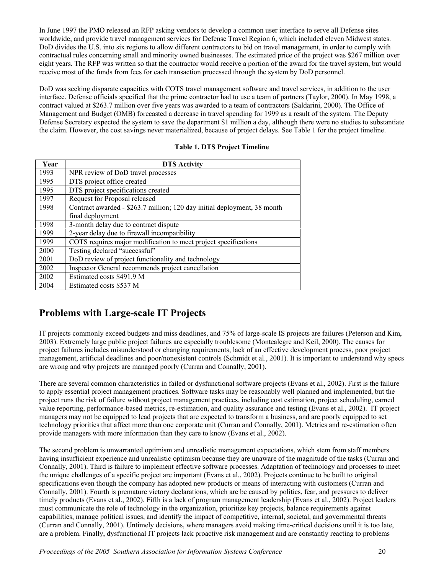In June 1997 the PMO released an RFP asking vendors to develop a common user interface to serve all Defense sites worldwide, and provide travel management services for Defense Travel Region 6, which included eleven Midwest states. DoD divides the U.S. into six regions to allow different contractors to bid on travel management, in order to comply with contractual rules concerning small and minority owned businesses. The estimated price of the project was \$267 million over eight years. The RFP was written so that the contractor would receive a portion of the award for the travel system, but would receive most of the funds from fees for each transaction processed through the system by DoD personnel.

DoD was seeking disparate capacities with COTS travel management software and travel services, in addition to the user interface. Defense officials specified that the prime contractor had to use a team of partners (Taylor, 2000). In May 1998, a contract valued at \$263.7 million over five years was awarded to a team of contractors (Saldarini, 2000). The Office of Management and Budget (OMB) forecasted a decrease in travel spending for 1999 as a result of the system. The Deputy Defense Secretary expected the system to save the department \$1 million a day, although there were no studies to substantiate the claim. However, the cost savings never materialized, because of project delays. See Table 1 for the project timeline.

#### **Table 1. DTS Project Timeline**

| Year | <b>DTS Activity</b>                                                      |
|------|--------------------------------------------------------------------------|
| 1993 | NPR review of DoD travel processes                                       |
| 1995 | DTS project office created                                               |
| 1995 | DTS project specifications created                                       |
| 1997 | Request for Proposal released                                            |
| 1998 | Contract awarded - \$263.7 million; 120 day initial deployment, 38 month |
|      | final deployment                                                         |
| 1998 | 3-month delay due to contract dispute                                    |
| 1999 | 2-year delay due to firewall incompatibility                             |
| 1999 | COTS requires major modification to meet project specifications          |
| 2000 | Testing declared "successful"                                            |
| 2001 | DoD review of project functionality and technology                       |
| 2002 | Inspector General recommends project cancellation                        |
| 2002 | Estimated costs \$491.9 M                                                |
| 2004 | Estimated costs \$537 M                                                  |

## **Problems with Large-scale IT Projects**

IT projects commonly exceed budgets and miss deadlines, and 75% of large-scale IS projects are failures (Peterson and Kim, 2003). Extremely large public project failures are especially troublesome (Montealegre and Keil, 2000). The causes for project failures includes misunderstood or changing requirements, lack of an effective development process, poor project management, artificial deadlines and poor/nonexistent controls (Schmidt et al., 2001). It is important to understand why specs are wrong and why projects are managed poorly (Curran and Connally, 2001).

There are several common characteristics in failed or dysfunctional software projects (Evans et al., 2002). First is the failure to apply essential project management practices. Software tasks may be reasonably well planned and implemented, but the project runs the risk of failure without project management practices, including cost estimation, project scheduling, earned value reporting, performance-based metrics, re-estimation, and quality assurance and testing (Evans et al., 2002). IT project managers may not be equipped to lead projects that are expected to transform a business, and are poorly equipped to set technology priorities that affect more than one corporate unit (Curran and Connally, 2001). Metrics and re-estimation often provide managers with more information than they care to know (Evans et al., 2002).

The second problem is unwarranted optimism and unrealistic management expectations, which stem from staff members having insufficient experience and unrealistic optimism because they are unaware of the magnitude of the tasks (Curran and Connally, 2001). Third is failure to implement effective software processes. Adaptation of technology and processes to meet the unique challenges of a specific project are important (Evans et al., 2002). Projects continue to be built to original specifications even though the company has adopted new products or means of interacting with customers (Curran and Connally, 2001). Fourth is premature victory declarations, which are be caused by politics, fear, and pressures to deliver timely products (Evans et al., 2002). Fifth is a lack of program management leadership (Evans et al., 2002). Project leaders must communicate the role of technology in the organization, prioritize key projects, balance requirements against capabilities, manage political issues, and identify the impact of competitive, internal, societal, and governmental threats (Curran and Connally, 2001). Untimely decisions, where managers avoid making time-critical decisions until it is too late, are a problem. Finally, dysfunctional IT projects lack proactive risk management and are constantly reacting to problems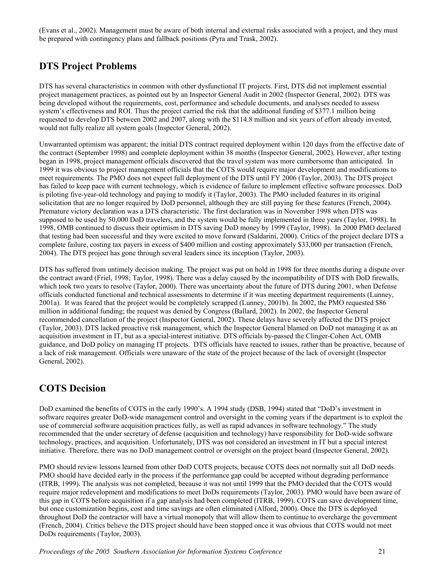(Evans et al., 2002). Management must be aware of both internal and external risks associated with a project, and they must be prepared with contingency plans and fallback positions (Pyra and Trask, 2002).

## **DTS Project Problems**

DTS has several characteristics in common with other dysfunctional IT projects. First, DTS did not implement essential project management practices, as pointed out by an Inspector General Audit in 2002 (Inspector General, 2002). DTS was being developed without the requirements, cost, performance and schedule documents, and analyses needed to assess system's effectiveness and ROI. Thus the project carried the risk that the additional funding of \$377.1 million being requested to develop DTS between 2002 and 2007, along with the \$114.8 million and six years of effort already invested, would not fully realize all system goals (Inspector General, 2002).

Unwarranted optimism was apparent; the initial DTS contract required deployment within 120 days from the effective date of the contract (September 1998) and complete deployment within 38 months (Inspector General, 2002). However, after testing began in 1998, project management officials discovered that the travel system was more cumbersome than anticipated. In 1999 it was obvious to project management officials that the COTS would require major development and modifications to meet requirements. The PMO does not expect full deployment of the DTS until FY 2006 (Taylor, 2003). The DTS project has failed to keep pace with current technology, which is evidence of failure to implement effective software processes. DoD is piloting five-year-old technology and paying to modify it (Taylor, 2003). The PMO included features in its original solicitation that are no longer required by DoD personnel, although they are still paying for these features (French, 2004). Premature victory declaration was a DTS characteristic. The first declaration was in November 1998 when DTS was supposed to be used by 50,000 DoD travelers, and the system would be fully implemented in three years (Taylor, 1998). In 1998, OMB continued to discuss their optimism in DTS saving DoD money by 1999 (Taylor, 1998). In 2000 PMO declared that testing had been successful and they were excited to move forward (Saldarini, 2000). Critics of the project declare DTS a complete failure, costing tax payers in excess of \$400 million and costing approximately \$33,000 per transaction (French, 2004). The DTS project has gone through several leaders since its inception (Taylor, 2003).

DTS has suffered from untimely decision making. The project was put on hold in 1998 for three months during a dispute over the contract award (Friel, 1998; Taylor, 1998). There was a delay caused by the incompatibility of DTS with DoD firewalls, which took two years to resolve (Taylor, 2000). There was uncertainty about the future of DTS during 2001, when Defense officials conducted functional and technical assessments to determine if it was meeting department requirements (Lunney, 2001a). It was feared that the project would be completely scrapped (Lunney, 2001b). In 2002, the PMO requested \$86 million in additional funding; the request was denied by Congress (Ballard, 2002). In 2002, the Inspector General recommended cancellation of the project (Inspector General, 2002). These delays have severely affected the DTS project (Taylor, 2003). DTS lacked proactive risk management, which the Inspector General blamed on DoD not managing it as an acquisition investment in IT, but as a special-interest initiative. DTS officials by-passed the Clinger-Cohen Act, OMB guidance, and DoD policy on managing IT projects. DTS officials have reacted to issues, rather than be proactive, because of a lack of risk management. Officials were unaware of the state of the project because of the lack of oversight (Inspector General, 2002).

## **COTS Decision**

DoD examined the benefits of COTS in the early 1990's. A 1994 study (DSB, 1994) stated that "DoD's investment in software requires greater DoD-wide management control and oversight in the coming years if the department is to exploit the use of commercial software acquisition practices fully, as well as rapid advances in software technology." The study recommended that the under secretary of defense (acquisition and technology) have responsibility for DoD-wide software technology, practices, and acquisition. Unfortunately, DTS was not considered an investment in IT but a special interest initiative. Therefore, there was no DoD management control or oversight on the project board (Inspector General, 2002).

PMO should review lessons learned from other DoD COTS projects, because COTS does not normally suit all DoD needs. PMO should have decided early in the process if the performance gap could be accepted without degrading performance (ITRB, 1999). The analysis was not completed, because it was not until 1999 that the PMO decided that the COTS would require major redevelopment and modifications to meet DoDs requirements (Taylor, 2003). PMO would have been aware of this gap in COTS before acquisition if a gap analysis had been completed (ITRB, 1999). COTS can save development time, but once customization begins, cost and time savings are often eliminated (Alford, 2000). Once the DTS is deployed throughout DoD the contractor will have a virtual monopoly that will allow them to continue to overcharge the government (French, 2004). Critics believe the DTS project should have been stopped once it was obvious that COTS would not meet DoDs requirements (Taylor, 2003).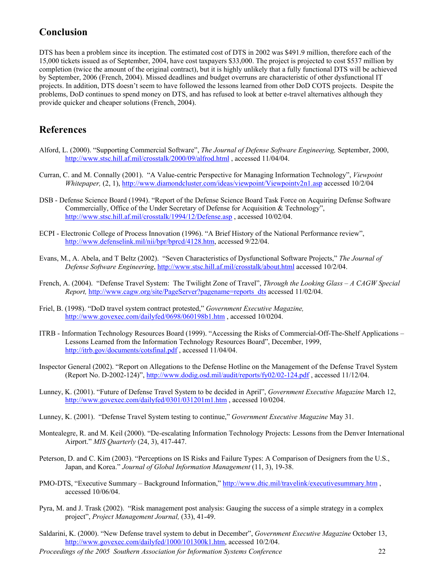## **Conclusion**

DTS has been a problem since its inception. The estimated cost of DTS in 2002 was \$491.9 million, therefore each of the 15,000 tickets issued as of September, 2004, have cost taxpayers \$33,000. The project is projected to cost \$537 million by completion (twice the amount of the original contract), but it is highly unlikely that a fully functional DTS will be achieved by September, 2006 (French, 2004). Missed deadlines and budget overruns are characteristic of other dysfunctional IT projects. In addition, DTS doesn't seem to have followed the lessons learned from other DoD COTS projects. Despite the problems, DoD continues to spend money on DTS, and has refused to look at better e-travel alternatives although they provide quicker and cheaper solutions (French, 2004).

### **References**

- Alford, L. (2000). "Supporting Commercial Software", *The Journal of Defense Software Engineering,* September, 2000, <http://www.stsc.hill.af.mil/crosstalk/2000/09/alfrod.html> , accessed 11/04/04.
- Curran, C. and M. Connally (2001). "A Value-centric Perspective for Managing Information Technology", *Viewpoint Whitepaper,* (2, 1), <http://www.diamondcluster.com/ideas/viewpoint/Viewpointv2n1.asp>accessed 10/2/04
- DSB Defense Science Board (1994). "Report of the Defense Science Board Task Force on Acquiring Defense Software Commercially, Office of the Under Secretary of Defense for Acquisition & Technology", <http://www.stsc.hill.af.mil/crosstalk/1994/12/Defense.asp> , accessed 10/02/04.
- ECPI Electronic College of Process Innovation (1996). "A Brief History of the National Performance review", [http://www.defenselink.mil/nii/bpr/bprcd/4128.htm,](http://www.defenselink.mil/nii/bpr/bprcd/4128.htm) accessed 9/22/04.
- Evans, M., A. Abela, and T Beltz (2002). "Seven Characteristics of Dysfunctional Software Projects," *The Journal of Defense Software Engineering*,<http://www.stsc.hill.af.mil/crosstalk/about.html> accessed 10/2/04.
- French, A. (2004). "Defense Travel System: The Twilight Zone of Travel", *Through the Looking Glass A CAGW Special Report,* [http://www.cagw.org/site/PageServer?pagename=reports\\_dts](http://www.cagw.org/site/PageServer?pagename=reports_dts) accessed 11/02/04.
- Friel, B. (1998). "DoD travel system contract protested," *Government Executive Magazine,* <http://www.govexec.com/dailyfed/0698/060198b1.htm> , accessed 10/0204.
- ITRB Information Technology Resources Board (1999). "Accessing the Risks of Commercial-Off-The-Shelf Applications Lessons Learned from the Information Technology Resources Board", December, 1999, <http://itrb.gov/documents/cotsfinal.pdf> , accessed 11/04/04.
- Inspector General (2002). "Report on Allegations to the Defense Hotline on the Management of the Defense Travel System (Report No. D-2002-124)",<http://www.dodig.osd.mil/audit/reports/fy02/02-124.pdf> , accessed 11/12/04.
- Lunney, K. (2001). "Future of Defense Travel System to be decided in April", *Government Executive Magazine* March 12, <http://www.govexec.com/dailyfed/0301/031201m1.htm>, accessed 10/0204.
- Lunney, K. (2001). "Defense Travel System testing to continue," *Government Executive Magazine* May 31.
- Montealegre, R. and M. Keil (2000). "De-escalating Information Technology Projects: Lessons from the Denver International Airport." *MIS Quarterly* (24, 3), 417-447.
- Peterson, D. and C. Kim (2003). "Perceptions on IS Risks and Failure Types: A Comparison of Designers from the U.S., Japan, and Korea." *Journal of Global Information Management* (11, 3), 19-38.
- PMO-DTS, "Executive Summary Background Information,"<http://www.dtic.mil/travelink/executivesummary.htm>, accessed 10/06/04.
- Pyra, M. and J. Trask (2002). "Risk management post analysis: Gauging the success of a simple strategy in a complex project", *Project Management Journal,* (33), 41-49.
- Saldarini, K. (2000). "New Defense travel system to debut in December", *Government Executive Magazine* October 13, <http://www.govexec.com/dailyfed/1000/101300k1.htm>, accessed 10/2/04.

*Proceedings of the 2005 Southern Association for Information Systems Conference* 22